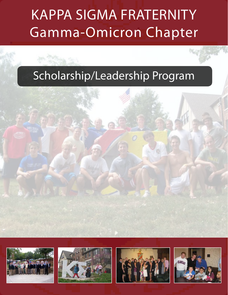# Kappa Sigma Fraternity Gamma-Omicron Chapter

# Scholarship/Leadership Program









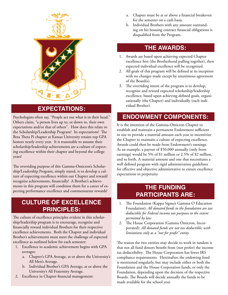

## **Expectations:**

Psychologists often say, "People act out what is in their head." Others claim, "a person lives up to, or down to, their own expectations and/or that of others". How does this relate to the Scholarship/Leadership Program? Its expectations! The Beta Theta Pi chapter at Kansas University retains top GPA honors nearly every year. It is reasonable to assume their scholarship/leadership achievements are a culture of expecting excellence within their chapter and beyond the college years!

The overriding purpose of this Gamma-Omicron's Scholarship/Leadership Program, simply stated, is to develop a culture of expecting excellence within our Chapter and reward/ recognize achievements, financially! A Brother's achievements in this program will condition them for a career of expecting performance excellence and commensurate rewards!

#### **Culture of excellence principles:**

The culture of excellence principles evident in this scholarship/leadership program is to encourage, recognize and financially reward individual Brothers for their respective excellence achievements. Both the Chapter and individual Brother's achievements must meet the challenge of expected excellence as outlined below for each semester:

- 1. Excellence in academic achievement begins with GPA averages:
	- a. Chapter's GPA Average, at or above the University's All Men's Average.
	- b. Individual Brother's GPA Average, at or above the University's All Fraternity Average.
- 2. Excellence in Chapter financial management:
- a. Chapter must be at or above a financial breakeven for the semester on a cash basis.
- b. Individual Brothers with any amount outstanding on his housing contract financial obligations is disqualified from the Program.

#### **The Awards:**

- 1. Awards are based upon achieving expected Chapter excellence first (the Brotherhood pulling together), then expected individual excellence will be recognized.
- 2. All goals of this program will be defined at its inception with no changes made except by unanimous agreement of the Board(s).
- 3. The overriding intent of the program is to develop, recognize and reward expected scholarship/leadership excellence, based upon achieving defined goals, organizationally (the Chapter) and individually (each individual Brother).

# **Endowment Components:**

It is the intention of the Gamma-Omicron Chapter to establish and maintain a permanent Endowment sufficient in size to provide a material amount each year to incentivize the Chapter to maintain a culture of expecting excellence. Awards could then be made from Endowment's earnings. As an example, a payout of \$50,000 annually (only from earnings) would be 5% of \$1 million or 2.5% of \$2 million, and so forth. A material amount and one that necessitates a well defined program with rigid administration guidelines for effective and objective administrative to ensure excellence expectations in perpetuity.

### **The funding participants are:**

- 1. The Foundation (Kappa Sigma's Gamma-O Education Foundation): *All donated funds to the foundation are tax deductible for Federal income tax purposes to the extent permitted by law*
- 2. The House Corporation (Gamma Omicron, Incorporated): *All donated funds are not tax deductible, with limitations only as a "not for profit" entity.*

The reason the two entities may decide to work in tandem is that not all fund donors benefit from (nor prefer) the income tax deductibility. The House Corporation has fewer IRS compliance requirements. Hereinafter, the endowing fund is mentioned singularly, but may include either or both the Foundation and the House Corporation funds, or only the Foundation, depending upon the decision of the respective Boards. The Boards will decide annually the funds to be made available for the school year.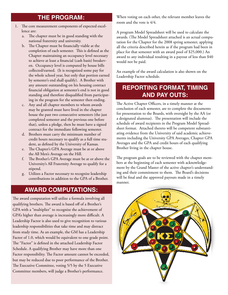# **The Program:**

- 1. The core measurement components of expected excellence are:
	- a. The chapter must be in good standing with the national fraternity and university.
	- b. The Chapter must be financially viable at the completion of each semester. This is defined as the Chapter maintaining an occupancy level necessary to achieve at least a financial (cash basis) breakeven. Occupancy level is computed by house bills collected/earned. (It is recognized some pay for the whole school year, but only that portion earned by semester's end shall qualify). A Brother with any amount outstanding on his housing contract financial obligation at semester's end is not in good standing and therefore disqualified from participating in the program for the semester then ending.
	- c. Any and all chapter members to whom awards may be granted must have lived in the chapter house the past two consecutive semesters (the just completed semester and the previous one before that), unless a pledge, then he must have a signed contract for the immediate following semester.
	- d. Brothers must carry the minimum number of credit hours necessary to qualify as a full time student, as defined by the University of Kansas.
	- e. The Chapter's GPA Average must be at or above the All Men's Average on the Hill.
	- f. The Brother's GPA Average must be at or above the University's All Fraternity Average to qualify for a stipend.
	- g. Utilizes a Factor necessary to recognize leadership contributions in addition to the GPA of a Brother.

### **Award Computations:**

The award computation will utilize a formula involving all qualifying brothers. The award is based off of a Brother's GPA with a "multiplier" to recognize the achievement of GPA's higher than average is increasingly more difficult. A Leadership Factor is also used to give recognition to various leadership responsibilities that take time and may distract from study time. As an example, the GM has a Leadership Factor of 1.0, which would be equivalent to one grade point. The "Factor" is defined in the attached Leadership Factor Schedule. A qualifying Brother may have more than one Factor responsibility. The Factor amount cannot be exceeded, but may be reduced due to poor performance of the Brother. The Executive Committee, voting 5/5 by the 5 Executive Committee members, will judge a Brother's performance.

When voting on each other, the relevant member leaves the room and the vote is 4/4.

A program Model Spreadsheet will be used to calculate the awards. (The Model Spreadsheet attached is an actual computation for the Chapter for the 2008 spring semester, applying all the criteria described herein as if the program had been in place for that semester with an award pool of \$25,000.) An award to any individual resulting in a payout of less than \$40 would not be paid.

An example of the award calculation is also shown on the Leadership Factor schedule.

### **Reporting format, timing and pay outs:**

The Active Chapter Officers, in a timely manner at the conclusion of each semester, are to complete the documents for presentation to the Boards, with oversight by the AA (or a designated alumnus). The presentation will include the schedule of award recipients in the Program Model Spreadsheet format. Attached thereto will be competent substantiating evidence from the University of said academic achievements including the University GPA Averages, Chapter GPA Averages and the GPA and credit hours of each qualifying Brother living in the chapter house.

The program goals are to be reviewed with the chapter members at the beginning of each semester with acknowledgement by the Grand Master of the active chapter's understanding and their commitment to them. The Board's decisions will be final and the approved payouts made in a timely manner.